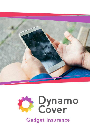

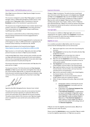# **Dynamo Gadget – AD/Theft/Breakdown and Loss**

About **Your** Insurance Welcome to **Your** Dynamo Gadget Insurance Policy Document.

This insurance is designed to protect **You** if **Your** gadget is accidently damaged, stolen or deliberately damaged by another person. It also provides cover if **Your** gadget suffers a mechanical or electrical **Breakdown** outside of the manufacturer's guarantee period.

This insurance was arranged by Dynamo Cover Limited. Dynamo Cover Limited is referred to as the **Administrator** in this Policy Document. Their contact details are: Dynamo Cover Limited, Cardiff House, Cardiff Road, Barry, CF63 2AW

The insurance is underwritten by Novus Underwriting Limited on behalf of Helvetia Schweizerische Versicherungsgesellschaft in Liechtenstein AG.

Helvetia Schweizerische Versicherungsgesellschaft in Liechtenstein AG of Herrengasse 11, Vaduz, FL-9490 Liechtenstein is regulated by the Financial Conduct Authority, Firm Reference No. 454140.

**D**etails can be checked on the Financial Services Register <https://register.fca.org.uk/> or by calling them on 0800 111 6768.

**Your** insurance is a 12-month policy. **Your** policy start date and **Your** period of insurance are shown on **Your** Insurance Schedule.

Understanding **Your** Policy: Please read this policy carefully and make sure **You** understand fully and comply with its terms and conditions. Failure to do so may jeopardise the payment of any claim which might arise and could lead to the policy becoming void.

All insurance documents and all communication with **You** about this policy will be in English.

The Insurance Contract: This Policy Document and **Your Insurance Schedule** are **Your** insurance documents and together they make up the contract between **You** and **Us**. It is important that **You** read this Policy Document carefully along with **Your** Insurance Schedule so **You** can be sure of the cover provided and to check that it meets **Your** needs.

Signed by Alex Mills, Managing Director, Dynamo Cover Limited

This policy will not be in force unless the correct premium has been received and it has been agreed by an authorised official of the Insurer and confirmation sent to **You** with the Insurance Schedule. The policy contains details of the Insurance cover **You** have bought, what is excluded from cover and the terms and conditions of this Insurance.

### **Important Information**

Changes in **Your** circumstances: The policy has been issued based upon information which **You** have given to the **Insurer** about **Yourself** and **Your** insured **Equipment**. **You** must tell the **Insurer** immediately of any changes to this information including any change of address. **You** must also notify the **Insurer** if **You** have been convicted of handling stolen goods, fraud, forgery, robbery, theft or if **You** have been declared bankrupt. If **You** do not reveal any relevant information the consequences may be that the policy is void and any claim **You** have, may be invalidated.

#### **Your legal rights:**

This Insurance is in addition to **Your** legal rights and is not to be substituted for the supplier's liability if the **Equipment** is found to be unfit for the purpose for which they were intended or are not as described or are not of satisfactory quality.

## **Eligibility for Cover:**

It is a condition precedent to **Our** liability under this insurance contract that the following matters are true and accurate:

- a) **You** must be aged 16 or over at the time of purchasing this insurance.
- b) **Your Equipment** must be less than 24 months old when **You** bought this insurance.
- c) **Your Equipment** must not have been lost, stolen or damaged before the start date of this insurance.
- d) **You** must own the **Equipment** to be insured, which must not have been purchased second hand, at auction or from an online auction website.
- e) **Your Equipment** must have been purchased within the United Kingdom, the Isle of Man or the Channel Islands.
- f) **Your** registered address must be in the United Kingdom, the Channel Islands or the Isle of Man, and must have been manufactured to a UK specification
- g) **You** must be a permanent resident in the United Kingdom, the Channel Islands or the Isle of Man.
- h) The **Equipment** to be insured cannot exceed a value of £2,000. (please check your schedule for details.)
- i) Within 14 days of taking out this policy, **You** must provide **Us** with:
	- a. Photographic evidence confirming the insured **Electronic Equipment** is not broken and in an operational state,
	- b. A description of the **Electronic Equipment You** wish to cover under this policy
	- c. If **Your Electronic Equipment** is a mobile phone, we require a photograph of **Your** IMEI number clearly displayed on **Your** mobile phone. **You** can obtain **Your** IMEI number by dialling \*#06# on **Your** phone; If **Your Electronic Equipment** is a tablet, laptop or another gadget then **You** can access the serial number in the settings menu of the **Electronic Equipment.**

If **You** do not meet the eligibility requirements above, **We** will not provide any cover under this policy.

Please contact the **Administrator** as soon as possible if **You** are unable to meet the eligibility requirements, or if **You** have any queries.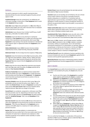### **Definitions**

Any word or expression to which a specific meaning has been attached will bear the same meaning throughout the policy and will appear in bold.

**Accidental Damage** means the unintentional, non-deliberate and unforeseen breakage or destruction of **Your Equipment** which results in the **Equipment** being unusable.

**Active War** means **Your** active participation in a **War** where **You** are deemed under English Law to be under instruction from or employed by the armed forces of any country.

**Administrator** means Dynamo Cover Limited, Cardiff House, Cardiff Road, Barry, CF63 2AW, Tel: 0330 22 34 604

**Breakdown** means the failure of any electrical or mechanical component in **Your Equipment** due to a sudden and unforeseen fault outside of the manufacturer warranty period, which causes **Your Equipment** to stop working in the way the manufacturer intended and which requires repair or replacement before the **Equipment** can be used again.

**Claims Administrator** means MB&G Insurance Services Limited, Cobalt Business Centre, Cobalt Park Way, Newcastle, NE20 9NZ

**Deferment Period**: The first 14 days from the inception of **Your** policy

**Equipment** means the item(s) insured by **Your** insurance policy, which can range from Smart Watches, Laptops, Phones, Tablets and many more. Please refer to **Your** Insurance Schedule for the full list of the **Equipment You** have insured. Only the **Equipment** specifically listed will be covered.

**Excess** means the first amount **You** will be required to pay towards each claim **You** make under this policy, the **Excess** selected will be shown on **Your Insurance Schedule**

**Evidence of ownership** means an original purchase receipt which includes the details of an item of **Equipment** or a similar document which provides proof that **You** own the **Equipment**. The **Equipment** cannot have been purchased second hand, at auction or from an online auction website.

**Insurance Schedule** means the document which names **You** as the policyholder and sets out what this policy covers **You** for. It will confirm the **Period of Cover**, the items of **Equipment** insured by this policy and the **Item Sum Insured**. **Your** Insurance Schedule will be replaced whenever **You** make any changes to the policy.

**Insured Event** is an accidental, unexpected or unforeseen event **Your** Insurance provides cover for. Depending on the level of cover **You** have, and coverages selected, the **Insured Event**s this policy includes cover for: **Accidental Damage**, Theft, Loss and **Breakdown** of the **Equipment**.

**Item Sum Insured** means the maximum **We** will pay in the event of a claim and in aggregate for the period of the insurance for that item of **Equipment**. This is the price **You** paid for the **Equipment** up to a maximum of £2,000 subject to a maximum of 2 claims within any period of insurance

**Nuclear risks** means Ionising radiation or contamination by radioactivity from any nuclear fuel or from any nuclear waste from the combustion of nuclear fuel or radioactive toxic explosive or other hazardous properties of any explosive nuclear assembly or nuclear component thereof.

**Period of Cover** means the period between the start date and end date stated on **Your** Insurance Schedule.

**Terrorism** means an act including, but not limited to, the use or threat of force and/or violence of any person or group(s) of persons, whether acting alone or on behalf of or in connection with any organisation(s) or government(s), committed for political, religious, ideological or similar purposes or reasons including the intention to influence any government and/or to put the public, or any section of the public, in fear.

**Violent and forcible entry** means the unlawful entry to a property or vehicle which is gained by violent means. For example, by forcing open a door or breaking a window to gain access.

**Unauthorised Calls, Texts or Data Use** means any calls, texts or data use made from **Your Equipment** after the time that it was lost or stolen, to the time that it was blacklisted by **Your** airtime provider.

**War** means: (a) **War**, invasion, acts of foreign enemies, hostilities (whether **War** be declared or not), civil **War**, rebellion, revolution, insurrection, military or usurped power, riot or civil commotion assuming the proportions of, or amounting to, an uprising, military or usurped power, or (b) Any act of terrorism, or (c) Any act of **War** or terrorism involving the use of, or release of, a threat to use any nuclear weapon or device or chemical or biological agent.

**You/Your/Yourself** means the individual or business specified on the Insurance Schedule who owns the insured **Equipment**, applied for this insurance and has paid the appropriate premium.

**We/Us/Our/Insurer** means Novus Underwriting Limited on behalf of Helvetia Schweizerische Versicherungsgesellschaft in Liechtenstein AG.

# **WHAT IS INSURED**

If an **Insured Event** occurs within the territorial limits as a result of any cause that is not excluded by this policy, the **Insurer** will, at its sole discretion:

- a) Pay the cost of the repair of the **Equipment** by a qualified repair engineer authorised by the **Insurer**; or replace the **Equipment** with **Equipment** of a similar specification;
- b) The Insurer will endeavour to replace the **Equipment** with **Equipment** of an identical specification but is not obliged to do so where this is not possible;
- c) The Insurer is not liable for the payment of Value Added Tax (VAT) where **You** are registered with HM Revenue and Customs for VAT;
- d) The Insurer will only pay for carriage costs within the UK. **You** must pay for any additional carriage costs if the **Equipment** needs to be collected and/or delivered outside the UK;
- e) The total liability of the Insurer for any claim will not exceed the Sum Insured value of the **Equipment** being claimed for.
- f) Where only a part or parts of **Your Equipment** have been lost, damaged or stolen, **We** will only repair or replace that part or parts.
- g) Where **Your** item of **Equipment** is a device where **You** are charged for **Unauthorised Calls, Texts or Data Use** and it is lost or stolen, **We** will refund the cost of any calls, texts or data used after the time it was lost or stolen to the time it was blacklisted by **Your** airtime provider. This is subject to **You** providing an itemised bill. The maximum **We** will pay for any one occurrence is £100

This is to certify that the **Insurer**, in consideration of the premium specified on **Your** insurance schedule, agrees to indemnify **You** on this insurance in respect of an **Insured Event**.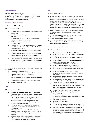## **General Conditions**

# **Locations Where Cover is Provided**

Cover applies in any country. However, a replacement or repair can only be dealt with once an item of **Equipment** is back in the United Kingdom, the Channel Islands or the Isle of Man and all repairs must be carried out by a repairer approved by **Us**.

### **Exclusions – What is not Covered**

# **Accidental and Malicious Damage**

**We** will not pay for any claim:

- a) Caused by **You** deliberately damaging or neglecting an item of **Equipment**;
- b) Caused by **You** not following the manufacturer's instructions;
- c) For the replacement of or adjustment to fittings, control knobs or buttons, batteries or aerials.
- d) Resulting from repairs carried out by a repairer not authorised by **Us**;
- e) If the IMEI or serial number cannot be determined from an item of **Equipment**, or if the IMEI or serial number has been tampered with in any way;
- f) Resulting from wear and tear or the gradual deterioration of performance; or
- g) For the cosmetic scratching, denting or marking of an item of **Equipment** which affects the appearance of that item but does not affect its performance or functionality in any way.
- h) For malicious damage unless the incident is reported to the police within 24 hours of **Your** discovery of the incident and **You** obtain a crime reference number from the police.

## **Breakdown**

**We** will not pay for any claim as a result of an **Insured Event** occurring as a result of

- a) Intentional act or wilful neglect or
- b) Intentional or reckless overloading of, or the imposition of any abnormal conditions on, the **Equipment**.
- c) Failure to observe manufacturer instructions such as placing the **Equipment** in a confined space to cause the **Equipment** to overheat.
- d) Routine servicing, inspection, maintenance or cleaning;
- e) Manufacturing defect or recall;

#### **Theft**

**We** will not pay for any claim:

- Of an item of **Equipment** is stolen from a motor vehicle (including a motorcycle) unless all windows and doors were closed and locked and the **Equipment** was concealed in a locked boot. Closed glove compartment (where the vehicle has windows and doors) and all security systems activated (A copy of the repairer's assessment and repair work invoice for the damage to the vehicle in gaining entry must be provided with any such claim);
- b) If an item of **Equipment** is stolen from an unoccupied premises, unless there is evidence of violent and forcible entry to the premises;
- c) If the incident is not reported to the Police within 24 hours of **Your** discovery of the incident and **You** do not obtain a crime reference number or lost property reference from the police.
- d) Any **Unauthorised Calls, Texts or Data Use** where the **Theft** or **Loss** has not been reported to **Your** airtime provider within 12 hours of the **Theft** or **Loss** occurring.

### **Loss**

We will not pay for any claim:

- Unless the incident is reported to the Police within 24 hours of **Your** discovery of the incident and **You** obtain a crime reference number or lost property reference from the Police. In the case of a lost property reference, **You** can also obtain this from a reporting service which is accredited by the Police, such as www.reportmyloss.com, which allows **You** to register a lost item. There may be a small cost involved in doing this which **You** will need to pay. If **Your** claim is successful then we will reimburse this cost.
- b) Involving a mobile phone, unless the loss has been reported to the network provider within 24 hours of discovery of the incident.
- c) Where reasonable precautions have not been taken to prevent the Accidental Loss of **Your Equipment.**
- d) Where the **Equipment** is a laptop computer.
- e) Any **Unauthorised Calls, Texts or Data Use** where the **Theft** or **Loss** has not been reported to **Your** airtime provider within 12 hours of the **Theft** or **Loss** occurring.

#### **General Exclusions applicable to all types of cover**

**We** will not provide any cover for:

- a) Any clam occurring within the **Deferment Period**
- b) Any claim if **You** do not meet the eligibility requirements for this policy.
- c) Damage or theft as a result of **You** not taking care of an item **Equipment**.
- d) Any claim which happens while an item of **Equipment** is in the possession of anyone other than **You.**
- e) Drones are not eligible for cover under this policy.
- f) Any claim which is covered under the warranty or guarantee provided by the manufacturer or retailer.
- g) Additional **Equipment** or accessories which are used with an item of **Equipment**.
- h) Any claim resulting from the failure of an item of **Equipment** to correctly recognise or process any calendar date or time.
- i) Value added tax (VAT) if **You** are registered for VAT with HM Revenue and Customs.
- j) Any additional carriage costs if an item of **Equipment** needs to be collected from, or delivered to, an address outside the United Kingdom, Chanel Islands or Isle of Man.
- k) Any costs or expenses which are not directly associated with the incident which caused the claim. For example, the cost of replacing any data or software which was stored on an item of **Equipment**.
- l) Reconnection costs or subscription fees of any kind.
- m) Any loss other than the cost of repairing or replacing an item of **Equipment**.
- n) Any liability arising out of **Your** use or ownership of an item of **Equipment**, including any illness or injury resulting from it.
- o) **War** or acts of Terrorism.
- p) **You** engaging in active **War**.
- q) **Nuclear risks**.
- r) Damage resulting from pressure waves caused by aircraft or other aerial devices travelling at sonic or supersonic speeds.
- s) **We** shall not provide any benefit under this contract of insurance to the extent of providing cover, payment of any claim or the provision of any benefit where doing so would breach any sanction, prohibition or restriction imposed by law or regulation.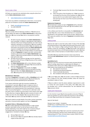#### **How to make a Claim**

All Claims are required to be submitted online using the claims form via the **Claims Administrators** website

# • [www.mbginsurance.co.uk/claims/gadgets/](http://www.mbginsurance.co.uk/claims/gadgets/)

If you have any problems completing the claims form, or any queries please do not hesitate to contact the **Claims Administrator on**: -

- Email[: claims@mbginsurance.co.uk](mailto:claims@mbginsurance.co.uk)
- Tel: 0191 258 6378.

### **Claims Conditions**

**You** must comply with the following conditions. If **You** fail to do so and this affects the ability of the **Claims Administrator** to fully assess **Your** claim, **We** may not pay **Your** claim or any payment could be reduced.

- a) All claims must be reported to the **Claims Administrator** as soon as possible. If a delay in reporting your claim leads to interests of the Insurer being prejudiced, your claim may be reduced or declined as a consequence. **You** must complete a claim form (in full) and provide at **Your** own expense, any information and assistance which the **Claims Administrator** requires to establish the amount of any payment under **Your** insurance. **You** must provide evidence of ownership of an item of **Equipment** to support any claim, and any other receipts or documents that the **Claims Administrator** may request. If **You** cannot provide evidence of ownership, **Your** claim will not be valid.
- b) All thefts and any malicious damage must be reported to the police within 24 hours of **Your** discovery of the incident. **You** must provide
- c) the **Claims Administrator** with a crime reference number.
- d) If an item of **Equipment** is damaged, **You** must provide the item for inspection and repair.
- e) If an item of **Equipment** is found after the **Claims Administrator** has settled a claim for the theft of an item, **You** must inform the **Claims Administrator** and return the item. **We** will pay the cost of returning the item.

### **Manufacturer's Warranty:**

If an item of **Equipment** is damaged or suffers a **Breakdown** and is still within the manufacturer's warranty period, **You** should follow the warranty returns process specified by the manufacturer.

If any repairs authorised under this insurance invalidate the manufacturer's warranty, **We** will repair or replace an item of **Equipment** in accordance with the terms of the manufacturer's warranty for the unexpired period of the manufacturer's warranty. Other Insurance/Subrogation: If, at the time of a valid claim under this policy, there is another insurance policy in force which covers **You** for the same loss or expense, **We** may seek a recovery of some or all of **Our** costs from the other **Insurer**. **You** must give **Us** any help or information **We** may need to assist **Us** with **Our** loss recoveries.

**You** may be asked to provide details of any other contract, guarantee, warranty or insurance which applies to an item of **Equipment**.

## **Fraudulent Claims or Misleading Information**

**We** take a robust approach to fraud prevention in order to keep premium rates down so that You do not have to pay for other people's dishonesty. If any claim made by You or anyone acting on Your behalf under this insurance is fraudulent, deliberately exaggerated or intended to mislead, **We** may:

- a) Not pay **Your** claim; and
- b) Recover (from **You**) any payments **We** have already made in respect of that claim; and
- c) Terminate **Your** insurance from the time of the fraudulent act; and
- d) Inform the police of the fraudulent act. If **Your** insurance is terminated from the time of the fraudulent act, **We** will not pay any claim for any incident which happens after that time and may not return any of the insurance premium(s) already paid.

### **Replacement Equipment**

**We** will attempt to replace an item of **Equipment** with an identical new or fully refurbished item of the same age and condition, but it may not be the same colour.

In the unlikely event that this is not possible, the **Administrator** will provide **You** with a new or fully refurbished item of a comparable specification or the equivalent value at time of claim, taking account of the age and condition of an item of **Equipment** immediately before **Your** claim.

# **CANCELLATION**

**You** have the right to cancel this policy within 14 days of the date **You**  purchased the policy or when **You** received the policy documents, if this is later. This is known as **Your** cooling off period. **You** do not need to provide a reason for cancellation, and **We** will provide a full refund of any premium paid minus a £15.99 administration fee, unless **You** have made a claim or there has been an incident likely to result in a claim.

Thereafter **You** may cancel the insurance cover at any time by informing **Your Administrator** however no refund of premium will be payable.

### **Cancellation by Us**

**We** may at any time cancel any insurance policy by giving 30 days' notice in writing, where there is a valid reason for doing so. A cancellation letter will be sent to **You** at **Your** last known address. Valid reasons may include but are not limited to: -

- a) Non-payment of premium;
- b) Threatening and abusive behaviour;
- c) Failure to provide documents;
- d) Non-compliance with policy terms and conditions.

If **We** cancel **Your** policy, **We** will provide a refund of **Your** premiums less a charge for the cover already provided, unless the reason for cancellation relates to Fraud.

If **You** are unable to meet the photo validation requirements in order to receive the cover benefits of this policy, then **Your** policy may be cancelled and a £15.99 administration fee will deducted from **Your** premium refund.

### **COMPLAINTS PROCEDURE**

It is the intention to give **You** the best possible service but if **You** do have any questions or concerns about this insurance or the handling of a claim **You** should follow the Complaints Procedure below: -

## SALE OF THE POLICY

Dynamo Cover Limited – Complaints Cardiff House, Cardiff Road, Barry, CF63 2AW, Tel: 0330 22 34 604 Email[: complaints@dynamocover.com](mailto:complaints@dynamocover.com)

If **Your** complaint about **Your** claim cannot be resolved by the end of the third working day, Dynamo Cover Limited will pass it to: Novus Underwriting Ltd, 4th Floor, 34 Lime Street, London, EC3M 7AT Email: [complaints@novusunderwriting.com](mailto:complaints@novusunderwriting.com)